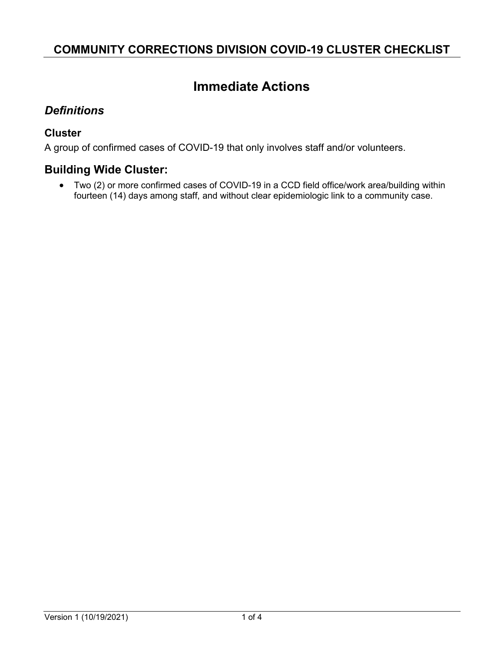# **Immediate Actions**

#### *Definitions*

#### **Cluster**

A group of confirmed cases of COVID-19 that only involves staff and/or volunteers.

### **Building Wide Cluster:**

• Two (2) or more confirmed cases of COVID-19 in a CCD field office/work area/building within fourteen (14) days among staff, and without clear epidemiologic link to a community case.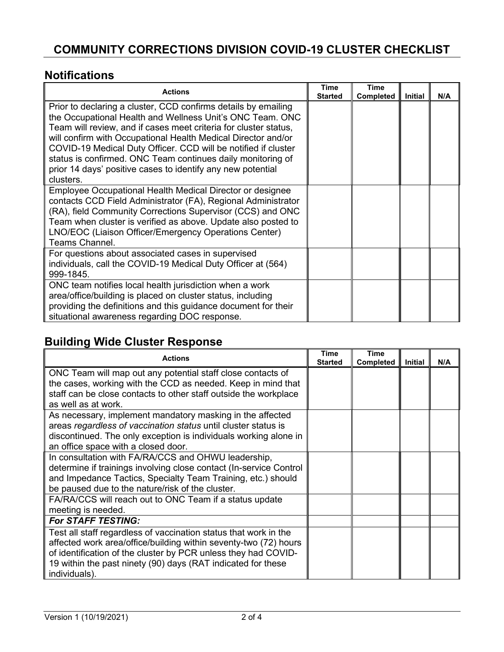### **Notifications**

| <b>Actions</b>                                                                                                                                                                                                                                                                                                                                                                                                                                                                | <b>Time</b><br><b>Started</b> | <b>Time</b><br><b>Completed</b> | <b>Initial</b> | N/A |
|-------------------------------------------------------------------------------------------------------------------------------------------------------------------------------------------------------------------------------------------------------------------------------------------------------------------------------------------------------------------------------------------------------------------------------------------------------------------------------|-------------------------------|---------------------------------|----------------|-----|
| Prior to declaring a cluster, CCD confirms details by emailing<br>the Occupational Health and Wellness Unit's ONC Team. ONC<br>Team will review, and if cases meet criteria for cluster status,<br>will confirm with Occupational Health Medical Director and/or<br>COVID-19 Medical Duty Officer. CCD will be notified if cluster<br>status is confirmed. ONC Team continues daily monitoring of<br>prior 14 days' positive cases to identify any new potential<br>clusters. |                               |                                 |                |     |
| Employee Occupational Health Medical Director or designee<br>contacts CCD Field Administrator (FA), Regional Administrator<br>(RA), field Community Corrections Supervisor (CCS) and ONC<br>Team when cluster is verified as above. Update also posted to<br>LNO/EOC (Liaison Officer/Emergency Operations Center)<br>Teams Channel.                                                                                                                                          |                               |                                 |                |     |
| For questions about associated cases in supervised<br>individuals, call the COVID-19 Medical Duty Officer at (564)<br>999-1845.                                                                                                                                                                                                                                                                                                                                               |                               |                                 |                |     |
| ONC team notifies local health jurisdiction when a work<br>area/office/building is placed on cluster status, including<br>providing the definitions and this guidance document for their<br>situational awareness regarding DOC response.                                                                                                                                                                                                                                     |                               |                                 |                |     |

## **Building Wide Cluster Response**

| <b>Actions</b>                                                                                                                                                                                                                                | <b>Time</b><br><b>Started</b> | <b>Time</b><br><b>Completed</b> | Initial | N/A |
|-----------------------------------------------------------------------------------------------------------------------------------------------------------------------------------------------------------------------------------------------|-------------------------------|---------------------------------|---------|-----|
| ONC Team will map out any potential staff close contacts of<br>the cases, working with the CCD as needed. Keep in mind that<br>staff can be close contacts to other staff outside the workplace<br>as well as at work.                        |                               |                                 |         |     |
| As necessary, implement mandatory masking in the affected<br>areas regardless of vaccination status until cluster status is<br>discontinued. The only exception is individuals working alone in<br>an office space with a closed door.        |                               |                                 |         |     |
| In consultation with FA/RA/CCS and OHWU leadership,<br>determine if trainings involving close contact (In-service Control<br>and Impedance Tactics, Specialty Team Training, etc.) should<br>be paused due to the nature/risk of the cluster. |                               |                                 |         |     |
| FA/RA/CCS will reach out to ONC Team if a status update<br>meeting is needed.                                                                                                                                                                 |                               |                                 |         |     |
| <b>For STAFF TESTING:</b><br>Test all staff regardless of vaccination status that work in the                                                                                                                                                 |                               |                                 |         |     |
| affected work area/office/building within seventy-two (72) hours<br>of identification of the cluster by PCR unless they had COVID-<br>19 within the past ninety (90) days (RAT indicated for these<br>individuals).                           |                               |                                 |         |     |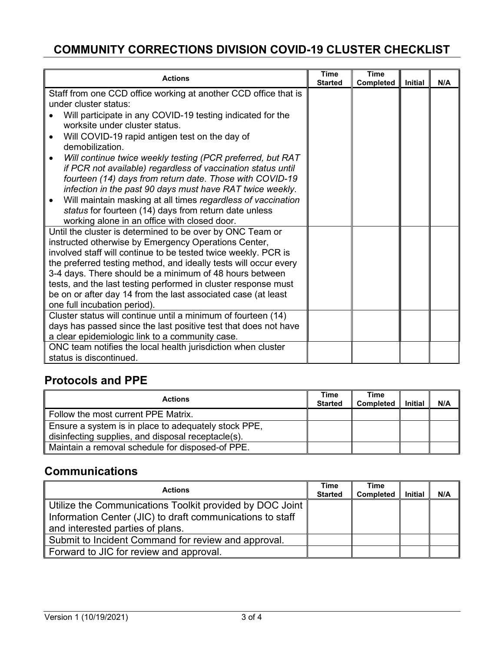| <b>Actions</b>                                                                                                                     | <b>Time</b><br><b>Started</b> | <b>Time</b><br>Completed | <b>Initial</b> | N/A |
|------------------------------------------------------------------------------------------------------------------------------------|-------------------------------|--------------------------|----------------|-----|
| Staff from one CCD office working at another CCD office that is                                                                    |                               |                          |                |     |
| under cluster status:                                                                                                              |                               |                          |                |     |
| Will participate in any COVID-19 testing indicated for the                                                                         |                               |                          |                |     |
| worksite under cluster status.                                                                                                     |                               |                          |                |     |
| Will COVID-19 rapid antigen test on the day of<br>$\bullet$                                                                        |                               |                          |                |     |
| demobilization.                                                                                                                    |                               |                          |                |     |
| Will continue twice weekly testing (PCR preferred, but RAT<br>٠                                                                    |                               |                          |                |     |
| if PCR not available) regardless of vaccination status until                                                                       |                               |                          |                |     |
| fourteen (14) days from return date. Those with COVID-19                                                                           |                               |                          |                |     |
| infection in the past 90 days must have RAT twice weekly.                                                                          |                               |                          |                |     |
| Will maintain masking at all times regardless of vaccination<br>$\bullet$<br>status for fourteen (14) days from return date unless |                               |                          |                |     |
| working alone in an office with closed door.                                                                                       |                               |                          |                |     |
| Until the cluster is determined to be over by ONC Team or                                                                          |                               |                          |                |     |
| instructed otherwise by Emergency Operations Center,                                                                               |                               |                          |                |     |
| involved staff will continue to be tested twice weekly. PCR is                                                                     |                               |                          |                |     |
| the preferred testing method, and ideally tests will occur every                                                                   |                               |                          |                |     |
| 3-4 days. There should be a minimum of 48 hours between                                                                            |                               |                          |                |     |
| tests, and the last testing performed in cluster response must                                                                     |                               |                          |                |     |
| be on or after day 14 from the last associated case (at least                                                                      |                               |                          |                |     |
| one full incubation period).                                                                                                       |                               |                          |                |     |
| Cluster status will continue until a minimum of fourteen (14)                                                                      |                               |                          |                |     |
| days has passed since the last positive test that does not have                                                                    |                               |                          |                |     |
| a clear epidemiologic link to a community case.                                                                                    |                               |                          |                |     |
| ONC team notifies the local health jurisdiction when cluster                                                                       |                               |                          |                |     |
| status is discontinued.                                                                                                            |                               |                          |                |     |

### **Protocols and PPE**

| <b>Actions</b>                                                                                             | <b>Time</b><br><b>Started</b> | Time<br><b>Completed</b> | <b>Initial</b> | N/A |
|------------------------------------------------------------------------------------------------------------|-------------------------------|--------------------------|----------------|-----|
| Follow the most current PPE Matrix.                                                                        |                               |                          |                |     |
| Ensure a system is in place to adequately stock PPE,<br>disinfecting supplies, and disposal receptacle(s). |                               |                          |                |     |
| Maintain a removal schedule for disposed-of PPE.                                                           |                               |                          |                |     |

### **Communications**

| <b>Actions</b>                                            | Time           | <b>Time</b>      |                |     |
|-----------------------------------------------------------|----------------|------------------|----------------|-----|
|                                                           | <b>Started</b> | <b>Completed</b> | <b>Initial</b> | N/A |
| Utilize the Communications Toolkit provided by DOC Joint  |                |                  |                |     |
| Information Center (JIC) to draft communications to staff |                |                  |                |     |
| and interested parties of plans.                          |                |                  |                |     |
| Submit to Incident Command for review and approval.       |                |                  |                |     |
| Forward to JIC for review and approval.                   |                |                  |                |     |